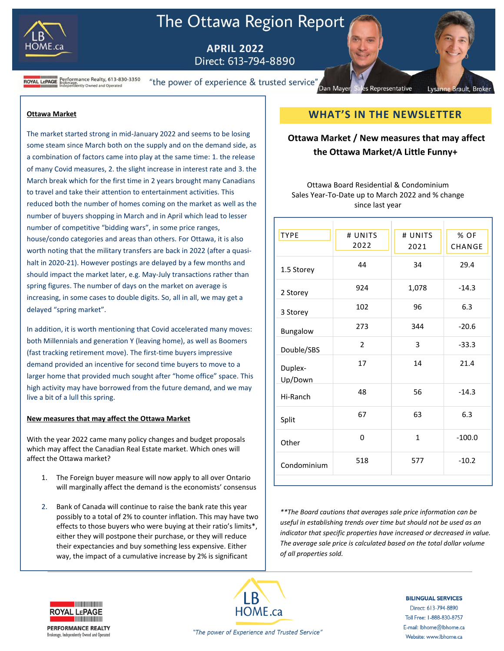

# The Ottawa Region Report

 **APRIL 2022**

**ROYAL LEPAGE** Brokerage.<br>ROYAL LEPAGE Brokerage.<br>Independently Owned and Operated "the power of experience & trusted service"

#### **Ottawa Market**

The market started strong in mid-January 2022 and seems to be losing some steam since March both on the supply and on the demand side, as a combination of factors came into play at the same time: 1. the release of many Covid measures, 2. the slight increase in interest rate and 3. the March break which for the first time in 2 years brought many Canadians to travel and take their attention to entertainment activities. This reduced both the number of homes coming on the market as well as the number of buyers shopping in March and in April which lead to lesser number of competitive "bidding wars", in some price ranges, house/condo categories and areas than others. For Ottawa, it is also worth noting that the military transfers are back in 2022 (after a quasihalt in 2020-21). However postings are delayed by a few months and should impact the market later, e.g. May-July transactions rather than spring figures. The number of days on the market on average is increasing, in some cases to double digits. So, all in all, we may get a delayed "spring market".

In addition, it is worth mentioning that Covid accelerated many moves: both Millennials and generation Y (leaving home), as well as Boomers (fast tracking retirement move). The first-time buyers impressive demand provided an incentive for second time buyers to move to a larger home that provided much sought after "home office" space. This high activity may have borrowed from the future demand, and we may live a bit of a lull this spring.

#### **New measures that may affect the Ottawa Market**

With the year 2022 came many policy changes and budget proposals which may affect the Canadian Real Estate market. Which ones will affect the Ottawa market?

- 1. The Foreign buyer measure will now apply to all over Ontario will marginally affect the demand is the economists' consensus
- 2. Bank of Canada will continue to raise the bank rate this year possibly to a total of 2% to counter inflation. This may have two effects to those buyers who were buying at their ratio's limits\*, either they will postpone their purchase, or they will reduce their expectancies and buy something less expensive. Either way, the impact of a cumulative increase by 2% is significant

# **WHAT'S IN THE NEWSLETTER**

Representative

Lysanne Brault, Broke

Dan Mayer

# **Ottawa Market / New measures that may affect the Ottawa Market/A Little Funny+**

Ottawa Board Residential & Condominium Sales Year-To-Date up to March 2022 and % change since last year

| <b>TYPE</b>        | # UNITS        | # UNITS | % OF     |
|--------------------|----------------|---------|----------|
|                    | 2022           | 2021    | CHANGE   |
| 1.5 Storey         | 44             | 34      | 29.4     |
| 2 Storey           | 924            | 1,078   | $-14.3$  |
| 3 Storey           | 102            | 96      | 6.3      |
| Bungalow           | 273            | 344     | $-20.6$  |
| Double/SBS         | $\overline{2}$ | 3       | $-33.3$  |
| Duplex-<br>Up/Down | 17             | 14      | 21.4     |
| Hi-Ranch           | 48             | 56      | $-14.3$  |
| Split              | 67             | 63      | 6.3      |
| Other              | 0              | 1       | $-100.0$ |
| Condominium        | 518            | 577     | $-10.2$  |

*\*\*The Board cautions that averages sale price information can be useful in establishing trends over time but should not be used as an indicator that specific properties have increased or decreased in value. The average sale price is calculated based on the total dollar volume of all properties sold.*



**PERFORMANCE REALTY** 

Brokerage, Independently Owned and Operated



#### **BILINGUAL SERVICES** Direct: 613-794-8890 Toll Free: 1-888-830-8757 E-mail: lbhome@lbhome.ca Website: www.lbhome.ca

"The power of Experience and Trusted Service"